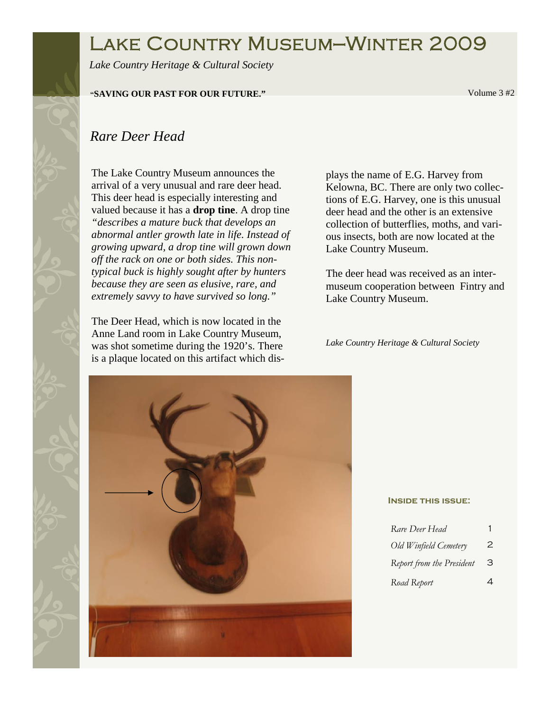# Lake Country Museum—Winter 2009

*Lake Country Heritage & Cultural Society* 

### **"SAVING OUR PAST FOR OUR FUTURE."** Volume 3 #2

## *Rare Deer Head*

The Lake Country Museum announces the arrival of a very unusual and rare deer head. This deer head is especially interesting and valued because it has a **drop tine**. A drop tine *"describes a mature buck that develops an abnormal antler growth late in life. Instead of growing upward, a drop tine will grown down off the rack on one or both sides. This nontypical buck is highly sought after by hunters because they are seen as elusive, rare, and extremely savvy to have survived so long."* 

The Deer Head, which is now located in the Anne Land room in Lake Country Museum, was shot sometime during the 1920's. There is a plaque located on this artifact which displays the name of E.G. Harvey from Kelowna, BC. There are only two collections of E.G. Harvey, one is this unusual deer head and the other is an extensive collection of butterflies, moths, and various insects, both are now located at the Lake Country Museum.

The deer head was received as an intermuseum cooperation between Fintry and Lake Country Museum.

*Lake Country Heritage & Cultural Society* 



#### **Inside this issue:**

| Rare Deer Head            |   |
|---------------------------|---|
| Old Winfield Cemetery     | 2 |
| Report from the President | З |
| Road Report               | Δ |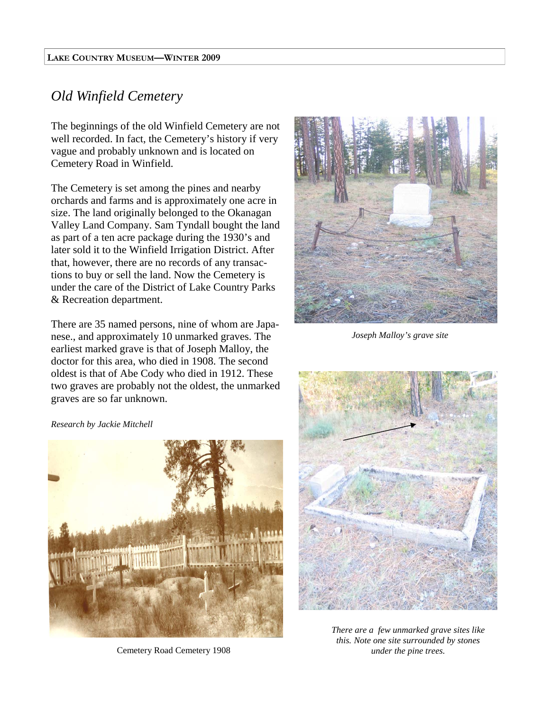### *Old Winfield Cemetery*

The beginnings of the old Winfield Cemetery are not well recorded. In fact, the Cemetery's history if very vague and probably unknown and is located on Cemetery Road in Winfield.

The Cemetery is set among the pines and nearby orchards and farms and is approximately one acre in size. The land originally belonged to the Okanagan Valley Land Company. Sam Tyndall bought the land as part of a ten acre package during the 1930's and later sold it to the Winfield Irrigation District. After that, however, there are no records of any transactions to buy or sell the land. Now the Cemetery is under the care of the District of Lake Country Parks & Recreation department.

There are 35 named persons, nine of whom are Japanese., and approximately 10 unmarked graves. The earliest marked grave is that of Joseph Malloy, the doctor for this area, who died in 1908. The second oldest is that of Abe Cody who died in 1912. These two graves are probably not the oldest, the unmarked graves are so far unknown.



*Joseph Malloy's grave site* 

#### *Research by Jackie Mitchell*



Cemetery Road Cemetery 1908



*There are a few unmarked grave sites like this. Note one site surrounded by stones under the pine trees.*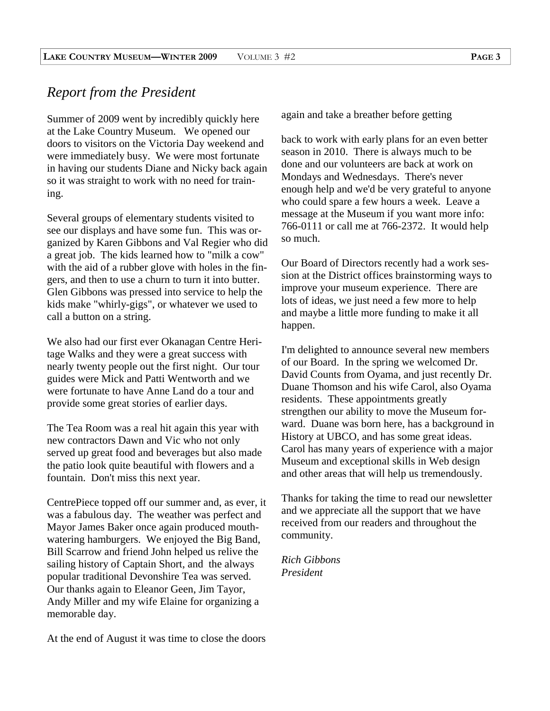### *Report from the President*

Summer of 2009 went by incredibly quickly here at the Lake Country Museum. We opened our doors to visitors on the Victoria Day weekend and were immediately busy. We were most fortunate in having our students Diane and Nicky back again so it was straight to work with no need for training.

Several groups of elementary students visited to see our displays and have some fun. This was organized by Karen Gibbons and Val Regier who did a great job. The kids learned how to "milk a cow" with the aid of a rubber glove with holes in the fingers, and then to use a churn to turn it into butter. Glen Gibbons was pressed into service to help the kids make "whirly-gigs", or whatever we used to call a button on a string.

We also had our first ever Okanagan Centre Heritage Walks and they were a great success with nearly twenty people out the first night. Our tour guides were Mick and Patti Wentworth and we were fortunate to have Anne Land do a tour and provide some great stories of earlier days.

The Tea Room was a real hit again this year with new contractors Dawn and Vic who not only served up great food and beverages but also made the patio look quite beautiful with flowers and a fountain. Don't miss this next year.

CentrePiece topped off our summer and, as ever, it was a fabulous day. The weather was perfect and Mayor James Baker once again produced mouthwatering hamburgers. We enjoyed the Big Band, Bill Scarrow and friend John helped us relive the sailing history of Captain Short, and the always popular traditional Devonshire Tea was served. Our thanks again to Eleanor Geen, Jim Tayor, Andy Miller and my wife Elaine for organizing a memorable day.

At the end of August it was time to close the doors

again and take a breather before getting

back to work with early plans for an even better season in 2010. There is always much to be done and our volunteers are back at work on Mondays and Wednesdays. There's never enough help and we'd be very grateful to anyone who could spare a few hours a week. Leave a message at the Museum if you want more info: 766-0111 or call me at 766-2372. It would help so much.

Our Board of Directors recently had a work session at the District offices brainstorming ways to improve your museum experience. There are lots of ideas, we just need a few more to help and maybe a little more funding to make it all happen.

I'm delighted to announce several new members of our Board. In the spring we welcomed Dr. David Counts from Oyama, and just recently Dr. Duane Thomson and his wife Carol, also Oyama residents. These appointments greatly strengthen our ability to move the Museum forward. Duane was born here, has a background in History at UBCO, and has some great ideas. Carol has many years of experience with a major Museum and exceptional skills in Web design and other areas that will help us tremendously.

Thanks for taking the time to read our newsletter and we appreciate all the support that we have received from our readers and throughout the community.

*Rich Gibbons President*